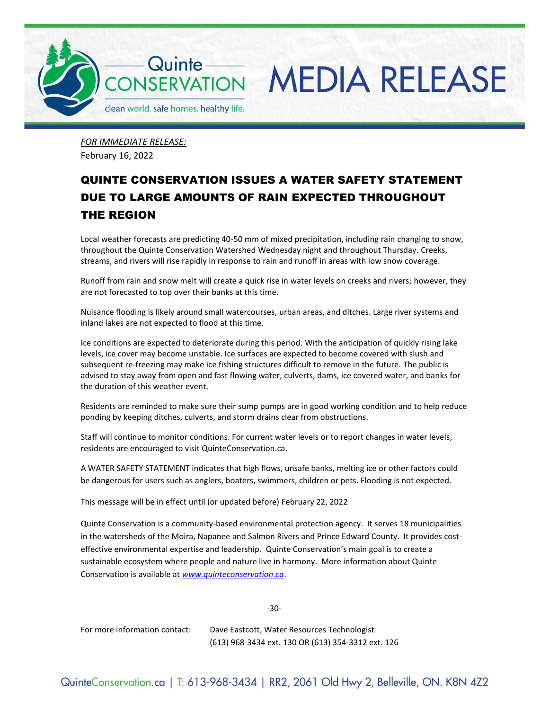

*FOR IMMEDIATE RELEASE:* February 16, 2022

## QUINTE CONSERVATION ISSUES A WATER SAFETY STATEMENT DUE TO LARGE AMOUNTS OF RAIN EXPECTED THROUGHOUT THE REGION

Local weather forecasts are predicting 40-50 mm of mixed precipitation, including rain changing to snow, throughout the Quinte Conservation Watershed Wednesday night and throughout Thursday. Creeks, streams, and rivers will rise rapidly in response to rain and runoff in areas with low snow coverage.

Runoff from rain and snow melt will create a quick rise in water levels on creeks and rivers; however, they are not forecasted to top over their banks at this time.

Nuisance flooding is likely around small watercourses, urban areas, and ditches. Large river systems and inland lakes are not expected to flood at this time.

Ice conditions are expected to deteriorate during this period. With the anticipation of quickly rising lake levels, ice cover may become unstable. Ice surfaces are expected to become covered with slush and subsequent re-freezing may make ice fishing structures difficult to remove in the future. The public is advised to stay away from open and fast flowing water, culverts, dams, ice covered water, and banks for the duration of this weather event.

Residents are reminded to make sure their sump pumps are in good working condition and to help reduce ponding by keeping ditches, culverts, and storm drains clear from obstructions.

Staff will continue to monitor conditions. For current water levels or to report changes in water levels, residents are encouraged to visit QuinteConservation.ca.

A WATER SAFETY STATEMENT indicates that high flows, unsafe banks, melting ice or other factors could be dangerous for users such as anglers, boaters, swimmers, children or pets. Flooding is not expected.

This message will be in effect until (or updated before) February 22, 2022

Quinte Conservation is a community-based environmental protection agency. It serves 18 municipalities in the watersheds of the Moira, Napanee and Salmon Rivers and Prince Edward County. It provides costeffective environmental expertise and leadership. Quinte Conservation's main goal is to create a sustainable ecosystem where people and nature live in harmony. More information about Quinte Conservation is available at *[www.quinteconservation.ca](http://www.quinteconservation.ca/)*.

-30-

For more information contact: Dave Eastcott, Water Resources Technologist (613) 968-3434 ext. 130 OR (613) 354-3312 ext. 126